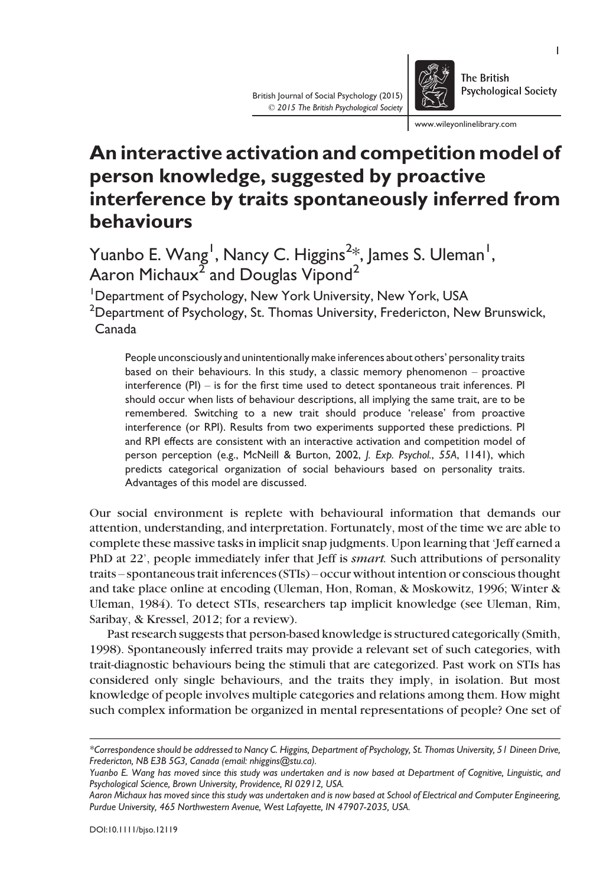www.wileyonlinelibrary.com

The British

Psychological Society

# An interactive activation and competition model of person knowledge, suggested by proactive interference by traits spontaneously inferred from behaviours

Yuanbo E. Wang<sup>1</sup>, Nancy C. Higgins<sup>2</sup>\*, James S. Uleman<sup>1</sup>, Aaron Michaux<sup>2</sup> and Douglas Vipond<sup>2</sup>

<sup>1</sup>Department of Psychology, New York University, New York, USA  $^{\rm 2}$ Department of Psychology, St. Thomas University, Fredericton, New Brunswick, Canada

People unconsciously and unintentionally make inferences about others' personality traits based on their behaviours. In this study, a classic memory phenomenon – proactive interference (PI) – is for the first time used to detect spontaneous trait inferences. PI should occur when lists of behaviour descriptions, all implying the same trait, are to be remembered. Switching to a new trait should produce 'release' from proactive interference (or RPI). Results from two experiments supported these predictions. PI and RPI effects are consistent with an interactive activation and competition model of person perception (e.g., McNeill & Burton, 2002, J. Exp. Psychol., 55A, 1141), which predicts categorical organization of social behaviours based on personality traits. Advantages of this model are discussed.

Our social environment is replete with behavioural information that demands our attention, understanding, and interpretation. Fortunately, most of the time we are able to complete these massive tasks in implicit snap judgments. Upon learning that 'Jeff earned a PhD at 22', people immediately infer that Jeff is *smart*. Such attributions of personality traits – spontaneous trait inferences (STIs) – occur without intention or conscious thought and take place online at encoding (Uleman, Hon, Roman, & Moskowitz, 1996; Winter & Uleman, 1984). To detect STIs, researchers tap implicit knowledge (see Uleman, Rim, Saribay, & Kressel, 2012; for a review).

Past research suggests that person-based knowledge is structured categorically (Smith, 1998). Spontaneously inferred traits may provide a relevant set of such categories, with trait-diagnostic behaviours being the stimuli that are categorized. Past work on STIs has considered only single behaviours, and the traits they imply, in isolation. But most knowledge of people involves multiple categories and relations among them. How might such complex information be organized in mental representations of people? One set of



<sup>\*</sup>Correspondence should be addressed to Nancy C. Higgins, Department of Psychology, St. Thomas University, 51 Dineen Drive, Fredericton, NB E3B 5G3, Canada (email: nhiggins@stu.ca).

Yuanbo E. Wang has moved since this study was undertaken and is now based at Department of Cognitive, Linguistic, and Psychological Science, Brown University, Providence, RI 02912, USA.

Aaron Michaux has moved since this study was undertaken and is now based at School of Electrical and Computer Engineering, Purdue University, 465 Northwestern Avenue, West Lafayette, IN 47907-2035, USA.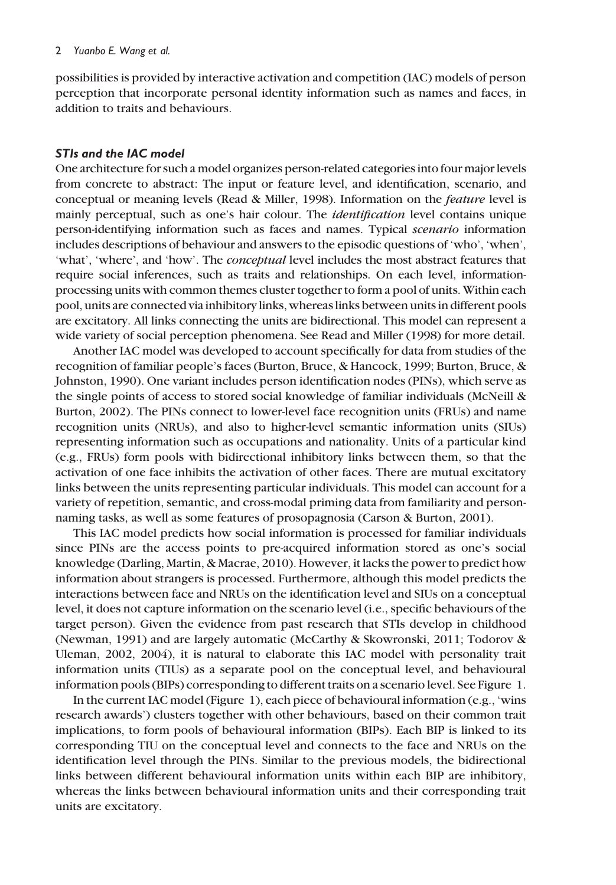possibilities is provided by interactive activation and competition (IAC) models of person perception that incorporate personal identity information such as names and faces, in addition to traits and behaviours.

### STIs and the IAC model

One architecture for such a model organizes person-related categories into four major levels from concrete to abstract: The input or feature level, and identification, scenario, and conceptual or meaning levels (Read & Miller, 1998). Information on the feature level is mainly perceptual, such as one's hair colour. The *identification* level contains unique person-identifying information such as faces and names. Typical scenario information includes descriptions of behaviour and answers to the episodic questions of 'who', 'when', 'what', 'where', and 'how'. The conceptual level includes the most abstract features that require social inferences, such as traits and relationships. On each level, informationprocessing units with common themes cluster together to form a pool of units. Within each pool, units are connected via inhibitory links, whereas links between units in different pools are excitatory. All links connecting the units are bidirectional. This model can represent a wide variety of social perception phenomena. See Read and Miller (1998) for more detail.

Another IAC model was developed to account specifically for data from studies of the recognition of familiar people's faces (Burton, Bruce, & Hancock, 1999; Burton, Bruce, & Johnston, 1990). One variant includes person identification nodes (PINs), which serve as the single points of access to stored social knowledge of familiar individuals (McNeill & Burton, 2002). The PINs connect to lower-level face recognition units (FRUs) and name recognition units (NRUs), and also to higher-level semantic information units (SIUs) representing information such as occupations and nationality. Units of a particular kind (e.g., FRUs) form pools with bidirectional inhibitory links between them, so that the activation of one face inhibits the activation of other faces. There are mutual excitatory links between the units representing particular individuals. This model can account for a variety of repetition, semantic, and cross-modal priming data from familiarity and personnaming tasks, as well as some features of prosopagnosia (Carson & Burton, 2001).

This IAC model predicts how social information is processed for familiar individuals since PINs are the access points to pre-acquired information stored as one's social knowledge (Darling, Martin, & Macrae, 2010). However, it lacks the power to predict how information about strangers is processed. Furthermore, although this model predicts the interactions between face and NRUs on the identification level and SIUs on a conceptual level, it does not capture information on the scenario level (i.e., specific behaviours of the target person). Given the evidence from past research that STIs develop in childhood (Newman, 1991) and are largely automatic (McCarthy & Skowronski, 2011; Todorov & Uleman, 2002, 2004), it is natural to elaborate this IAC model with personality trait information units (TIUs) as a separate pool on the conceptual level, and behavioural information pools (BIPs) corresponding to different traits on a scenario level. See Figure 1.

In the current IAC model (Figure 1), each piece of behavioural information (e.g., 'wins research awards') clusters together with other behaviours, based on their common trait implications, to form pools of behavioural information (BIPs). Each BIP is linked to its corresponding TIU on the conceptual level and connects to the face and NRUs on the identification level through the PINs. Similar to the previous models, the bidirectional links between different behavioural information units within each BIP are inhibitory, whereas the links between behavioural information units and their corresponding trait units are excitatory.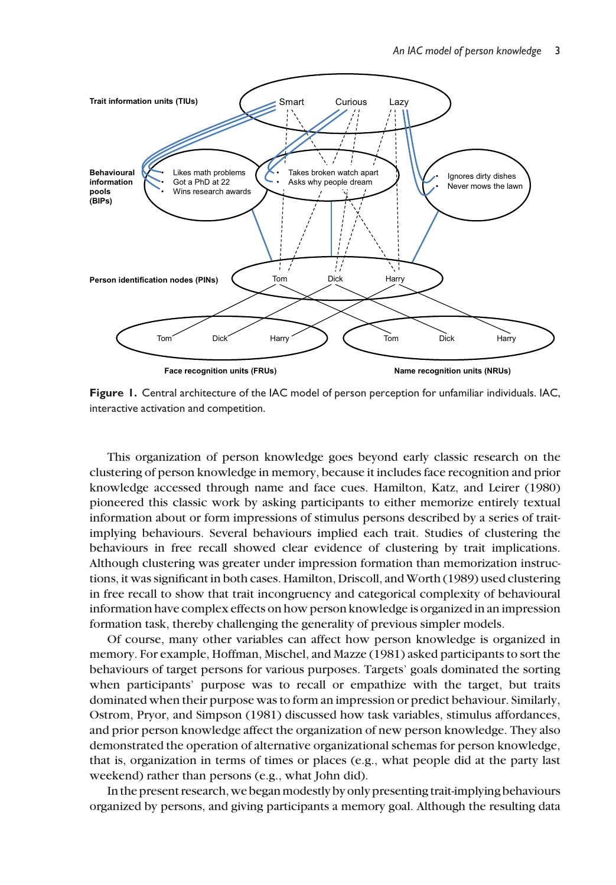

Figure 1. Central architecture of the IAC model of person perception for unfamiliar individuals. IAC, interactive activation and competition.

This organization of person knowledge goes beyond early classic research on the clustering of person knowledge in memory, because it includes face recognition and prior knowledge accessed through name and face cues. Hamilton, Katz, and Leirer (1980) pioneered this classic work by asking participants to either memorize entirely textual information about or form impressions of stimulus persons described by a series of traitimplying behaviours. Several behaviours implied each trait. Studies of clustering the behaviours in free recall showed clear evidence of clustering by trait implications. Although clustering was greater under impression formation than memorization instructions, it was significant in both cases. Hamilton, Driscoll, and Worth (1989) used clustering in free recall to show that trait incongruency and categorical complexity of behavioural information have complex effects on how person knowledge is organized in an impression formation task, thereby challenging the generality of previous simpler models.

Of course, many other variables can affect how person knowledge is organized in memory. For example, Hoffman, Mischel, and Mazze (1981) asked participants to sort the behaviours of target persons for various purposes. Targets' goals dominated the sorting when participants' purpose was to recall or empathize with the target, but traits dominated when their purpose was to form an impression or predict behaviour. Similarly, Ostrom, Pryor, and Simpson (1981) discussed how task variables, stimulus affordances, and prior person knowledge affect the organization of new person knowledge. They also demonstrated the operation of alternative organizational schemas for person knowledge, that is, organization in terms of times or places (e.g., what people did at the party last weekend) rather than persons (e.g., what John did).

In the present research, we began modestly by only presenting trait-implying behaviours organized by persons, and giving participants a memory goal. Although the resulting data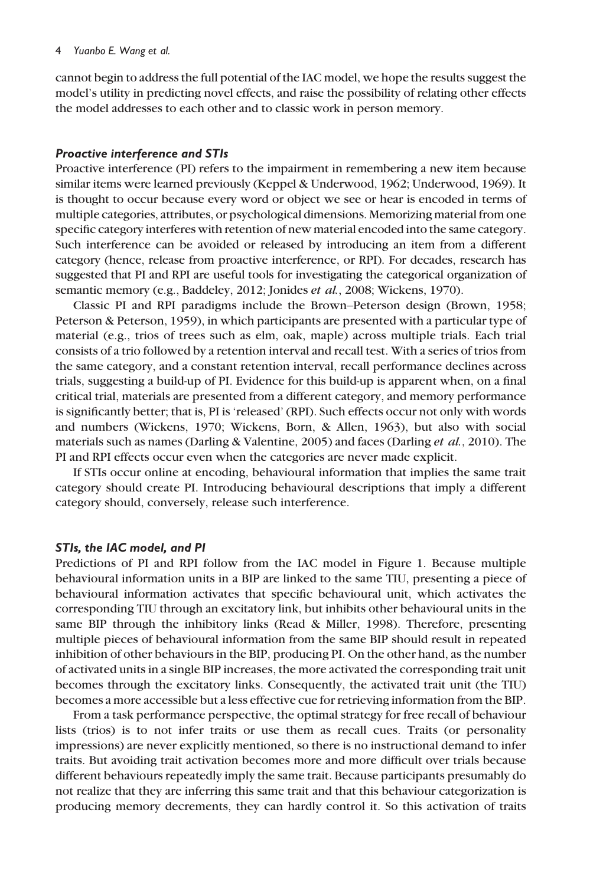#### 4 Yuanbo E. Wang et al.

cannot begin to address the full potential of the IAC model, we hope the results suggest the model's utility in predicting novel effects, and raise the possibility of relating other effects the model addresses to each other and to classic work in person memory.

### Proactive interference and STIs

Proactive interference (PI) refers to the impairment in remembering a new item because similar items were learned previously (Keppel & Underwood, 1962; Underwood, 1969). It is thought to occur because every word or object we see or hear is encoded in terms of multiple categories, attributes, or psychological dimensions. Memorizing material from one specific category interferes with retention of new material encoded into the same category. Such interference can be avoided or released by introducing an item from a different category (hence, release from proactive interference, or RPI). For decades, research has suggested that PI and RPI are useful tools for investigating the categorical organization of semantic memory (e.g., Baddeley, 2012; Jonides et al., 2008; Wickens, 1970).

Classic PI and RPI paradigms include the Brown–Peterson design (Brown, 1958; Peterson & Peterson, 1959), in which participants are presented with a particular type of material (e.g., trios of trees such as elm, oak, maple) across multiple trials. Each trial consists of a trio followed by a retention interval and recall test. With a series of trios from the same category, and a constant retention interval, recall performance declines across trials, suggesting a build-up of PI. Evidence for this build-up is apparent when, on a final critical trial, materials are presented from a different category, and memory performance is significantly better; that is, PI is 'released' (RPI). Such effects occur not only with words and numbers (Wickens, 1970; Wickens, Born, & Allen, 1963), but also with social materials such as names (Darling & Valentine, 2005) and faces (Darling et al., 2010). The PI and RPI effects occur even when the categories are never made explicit.

If STIs occur online at encoding, behavioural information that implies the same trait category should create PI. Introducing behavioural descriptions that imply a different category should, conversely, release such interference.

### STIs, the IAC model, and PI

Predictions of PI and RPI follow from the IAC model in Figure 1. Because multiple behavioural information units in a BIP are linked to the same TIU, presenting a piece of behavioural information activates that specific behavioural unit, which activates the corresponding TIU through an excitatory link, but inhibits other behavioural units in the same BIP through the inhibitory links (Read & Miller, 1998). Therefore, presenting multiple pieces of behavioural information from the same BIP should result in repeated inhibition of other behaviours in the BIP, producing PI. On the other hand, as the number of activated units in a single BIP increases, the more activated the corresponding trait unit becomes through the excitatory links. Consequently, the activated trait unit (the TIU) becomes a more accessible but a less effective cue for retrieving information from the BIP.

From a task performance perspective, the optimal strategy for free recall of behaviour lists (trios) is to not infer traits or use them as recall cues. Traits (or personality impressions) are never explicitly mentioned, so there is no instructional demand to infer traits. But avoiding trait activation becomes more and more difficult over trials because different behaviours repeatedly imply the same trait. Because participants presumably do not realize that they are inferring this same trait and that this behaviour categorization is producing memory decrements, they can hardly control it. So this activation of traits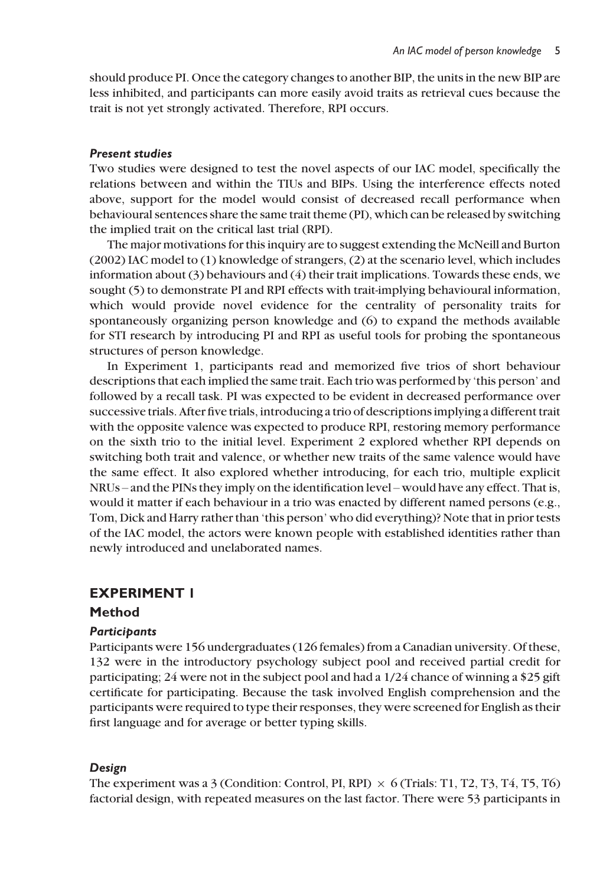should produce PI. Once the category changes to another BIP, the units in the new BIP are less inhibited, and participants can more easily avoid traits as retrieval cues because the trait is not yet strongly activated. Therefore, RPI occurs.

### Present studies

Two studies were designed to test the novel aspects of our IAC model, specifically the relations between and within the TIUs and BIPs. Using the interference effects noted above, support for the model would consist of decreased recall performance when behavioural sentences share the same trait theme (PI), which can be released by switching the implied trait on the critical last trial (RPI).

The major motivations for this inquiry are to suggest extending the McNeill and Burton (2002) IAC model to (1) knowledge of strangers, (2) at the scenario level, which includes information about (3) behaviours and (4) their trait implications. Towards these ends, we sought (5) to demonstrate PI and RPI effects with trait-implying behavioural information, which would provide novel evidence for the centrality of personality traits for spontaneously organizing person knowledge and (6) to expand the methods available for STI research by introducing PI and RPI as useful tools for probing the spontaneous structures of person knowledge.

In Experiment 1, participants read and memorized five trios of short behaviour descriptions that each implied the same trait. Each trio was performed by 'this person' and followed by a recall task. PI was expected to be evident in decreased performance over successive trials. After five trials, introducing a trio of descriptions implying a different trait with the opposite valence was expected to produce RPI, restoring memory performance on the sixth trio to the initial level. Experiment 2 explored whether RPI depends on switching both trait and valence, or whether new traits of the same valence would have the same effect. It also explored whether introducing, for each trio, multiple explicit NRUs – and the PINs they imply on the identification level – would have any effect. That is, would it matter if each behaviour in a trio was enacted by different named persons (e.g., Tom, Dick and Harry rather than 'this person' who did everything)? Note that in prior tests of the IAC model, the actors were known people with established identities rather than newly introduced and unelaborated names.

# EXPERIMENT 1

### Method

### **Particibants**

Participants were 156 undergraduates (126 females) from a Canadian university. Of these, 132 were in the introductory psychology subject pool and received partial credit for participating; 24 were not in the subject pool and had a 1/24 chance of winning a \$25 gift certificate for participating. Because the task involved English comprehension and the participants were required to type their responses, they were screened for English as their first language and for average or better typing skills.

### Design

The experiment was a 3 (Condition: Control, PI, RPI)  $\times$  6 (Trials: T1, T2, T3, T4, T5, T6) factorial design, with repeated measures on the last factor. There were 53 participants in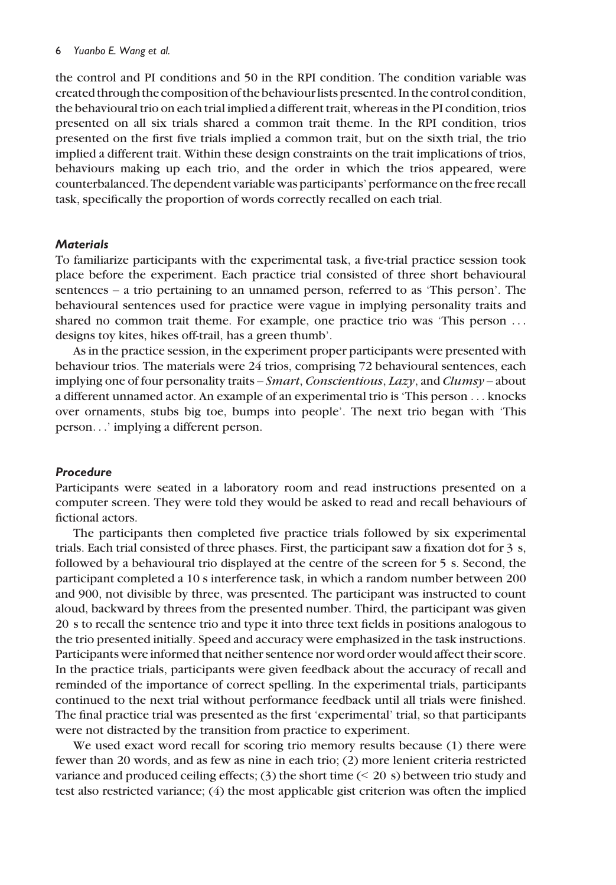the control and PI conditions and 50 in the RPI condition. The condition variable was created through the composition of the behaviour lists presented. In the control condition, the behavioural trio on each trial implied a different trait, whereas in the PI condition, trios presented on all six trials shared a common trait theme. In the RPI condition, trios presented on the first five trials implied a common trait, but on the sixth trial, the trio implied a different trait. Within these design constraints on the trait implications of trios, behaviours making up each trio, and the order in which the trios appeared, were counterbalanced. The dependent variable was participants' performance on the free recall task, specifically the proportion of words correctly recalled on each trial.

### **Materials**

To familiarize participants with the experimental task, a five-trial practice session took place before the experiment. Each practice trial consisted of three short behavioural sentences – a trio pertaining to an unnamed person, referred to as 'This person'. The behavioural sentences used for practice were vague in implying personality traits and shared no common trait theme. For example, one practice trio was 'This person ... designs toy kites, hikes off-trail, has a green thumb'.

As in the practice session, in the experiment proper participants were presented with behaviour trios. The materials were 24 trios, comprising 72 behavioural sentences, each implying one of four personality traits – Smart, Conscientious, Lazy, and Clumsy – about a different unnamed actor. An example of an experimental trio is 'This person ... knocks over ornaments, stubs big toe, bumps into people'. The next trio began with 'This person...' implying a different person.

### Procedure

Participants were seated in a laboratory room and read instructions presented on a computer screen. They were told they would be asked to read and recall behaviours of fictional actors.

The participants then completed five practice trials followed by six experimental trials. Each trial consisted of three phases. First, the participant saw a fixation dot for 3 s, followed by a behavioural trio displayed at the centre of the screen for 5 s. Second, the participant completed a 10 s interference task, in which a random number between 200 and 900, not divisible by three, was presented. The participant was instructed to count aloud, backward by threes from the presented number. Third, the participant was given 20 s to recall the sentence trio and type it into three text fields in positions analogous to the trio presented initially. Speed and accuracy were emphasized in the task instructions. Participants were informed that neither sentence nor word order would affect their score. In the practice trials, participants were given feedback about the accuracy of recall and reminded of the importance of correct spelling. In the experimental trials, participants continued to the next trial without performance feedback until all trials were finished. The final practice trial was presented as the first 'experimental' trial, so that participants were not distracted by the transition from practice to experiment.

We used exact word recall for scoring trio memory results because (1) there were fewer than 20 words, and as few as nine in each trio; (2) more lenient criteria restricted variance and produced ceiling effects;  $(3)$  the short time  $( $20$  s) between trio study and$ test also restricted variance; (4) the most applicable gist criterion was often the implied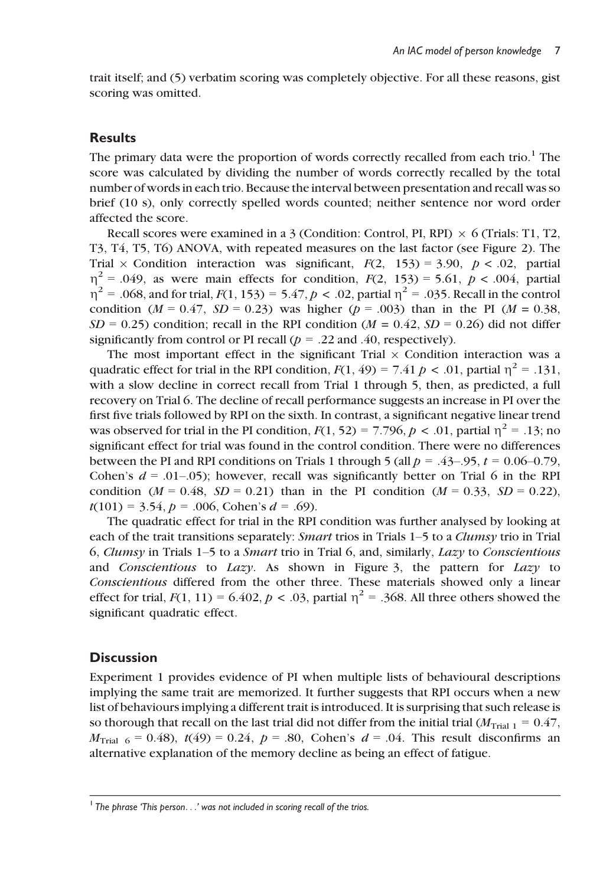trait itself; and (5) verbatim scoring was completely objective. For all these reasons, gist scoring was omitted.

# **Results**

The primary data were the proportion of words correctly recalled from each trio.<sup>1</sup> The score was calculated by dividing the number of words correctly recalled by the total number of words in each trio. Because the interval between presentation and recall was so brief (10 s), only correctly spelled words counted; neither sentence nor word order affected the score.

Recall scores were examined in a 3 (Condition: Control, PI, RPI)  $\times$  6 (Trials: T1, T2, T3, T4, T5, T6) ANOVA, with repeated measures on the last factor (see Figure 2). The Trial  $\times$  Condition interaction was significant,  $F(2, 153) = 3.90, p < .02$ , partial  $\eta^2$  = .049, as were main effects for condition,  $F(2, 153) = 5.61$ ,  $p < .004$ , partial  $\eta^2$  = .068, and for trial,  $F(1, 153) = 5.47$ ,  $p < .02$ , partial  $\eta^2$  = .035. Recall in the control condition ( $M = 0.47$ ,  $SD = 0.23$ ) was higher ( $p = .003$ ) than in the PI ( $M = 0.38$ ,  $SD = 0.25$ ) condition; recall in the RPI condition ( $M = 0.42$ ,  $SD = 0.26$ ) did not differ significantly from control or PI recall ( $p = .22$  and .40, respectively).

The most important effect in the significant Trial  $\times$  Condition interaction was a quadratic effect for trial in the RPI condition,  $F(1, 49) = 7.41 p \lt 0.01$ , partial  $\eta^2 = 0.131$ , with a slow decline in correct recall from Trial 1 through 5, then, as predicted, a full recovery on Trial 6. The decline of recall performance suggests an increase in PI over the first five trials followed by RPI on the sixth. In contrast, a significant negative linear trend was observed for trial in the PI condition,  $F(1, 52) = 7.796$ ,  $p < .01$ , partial  $\eta^2 = .13$ ; no significant effect for trial was found in the control condition. There were no differences between the PI and RPI conditions on Trials 1 through 5 (all  $p = .43-0.95$ ,  $t = 0.06-0.79$ , Cohen's  $d = .01-.05$ ; however, recall was significantly better on Trial 6 in the RPI condition ( $M = 0.48$ ,  $SD = 0.21$ ) than in the PI condition ( $M = 0.33$ ,  $SD = 0.22$ ),  $t(101) = 3.54$ ,  $p = .006$ , Cohen's  $d = .69$ ).

The quadratic effect for trial in the RPI condition was further analysed by looking at each of the trait transitions separately: Smart trios in Trials 1–5 to a Clumsy trio in Trial 6, Clumsy in Trials 1–5 to a *Smart* trio in Trial 6, and, similarly, Lazy to Conscientious and Conscientious to Lazy. As shown in Figure 3, the pattern for Lazy to Conscientious differed from the other three. These materials showed only a linear effect for trial,  $F(1, 11) = 6.402$ ,  $p < .03$ , partial  $\eta^2 = .368$ . All three others showed the significant quadratic effect.

# **Discussion**

Experiment 1 provides evidence of PI when multiple lists of behavioural descriptions implying the same trait are memorized. It further suggests that RPI occurs when a new list of behaviours implying a different trait is introduced. It is surprising that such release is so thorough that recall on the last trial did not differ from the initial trial  $(M<sub>trial 1</sub> = 0.47)$ ,  $M_{\text{trial}}$  6 = 0.48),  $t(49)$  = 0.24,  $p = .80$ , Cohen's  $d = .04$ . This result disconfirms an alternative explanation of the memory decline as being an effect of fatigue.

 $<sup>1</sup>$  The phrase 'This person...' was not included in scoring recall of the trios.</sup>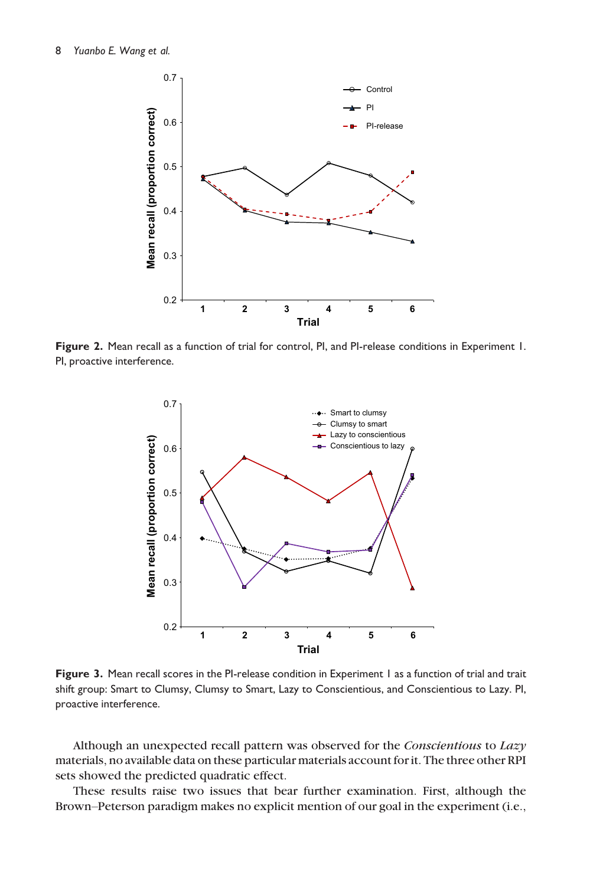

Figure 2. Mean recall as a function of trial for control, PI, and PI-release conditions in Experiment 1. PI, proactive interference.



Figure 3. Mean recall scores in the PI-release condition in Experiment 1 as a function of trial and trait shift group: Smart to Clumsy, Clumsy to Smart, Lazy to Conscientious, and Conscientious to Lazy. PI, proactive interference.

Although an unexpected recall pattern was observed for the Conscientious to Lazy materials, no available data on these particular materials account for it. The three other RPI sets showed the predicted quadratic effect.

These results raise two issues that bear further examination. First, although the Brown–Peterson paradigm makes no explicit mention of our goal in the experiment (i.e.,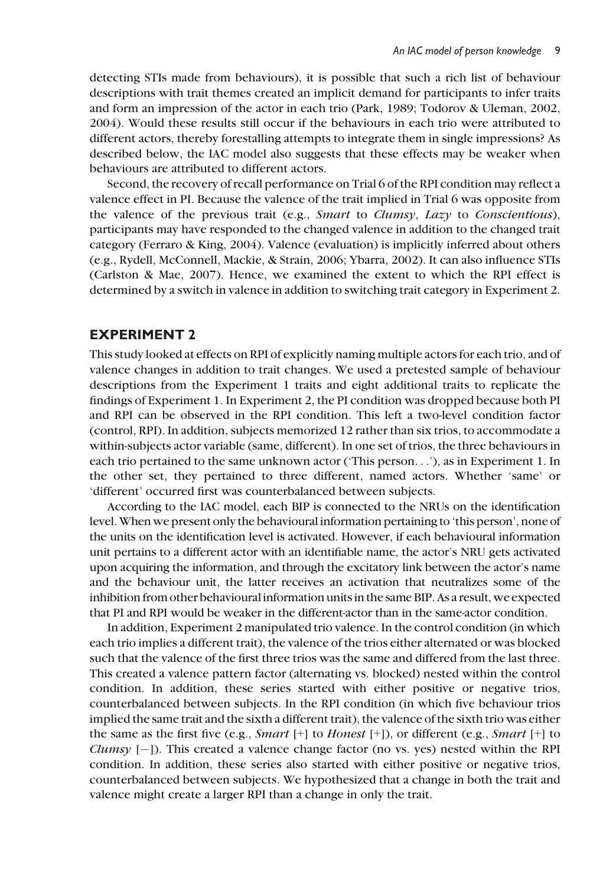detecting STIs made from behaviours), it is possible that such a rich list of behaviour descriptions with trait themes created an implicit demand for participants to infer traits and form an impression of the actor in each trio (Park, 1989; Todorov & Uleman, 2002, 2004). Would these results still occur if the behaviours in each trio were attributed to different actors, thereby forestalling attempts to integrate them in single impressions? As described below, the IAC model also suggests that these effects may be weaker when behaviours are attributed to different actors.

Second, the recovery of recall performance on Trial 6 of the RPI condition may reflect a valence effect in PI. Because the valence of the trait implied in Trial 6 was opposite from the valence of the previous trait (e.g., *Smart* to *Clumsy*, *Lazy* to *Conscientious*), participants may have responded to the changed valence in addition to the changed trait category (Ferraro & King, 2004). Valence (evaluation) is implicitly inferred about others (e.g., Rydell, McConnell, Mackie, & Strain, 2006; Ybarra, 2002). It can also influence STIs (Carlston & Mae, 2007). Hence, we examined the extent to which the RPI effect is determined by a switch in valence in addition to switching trait category in Experiment 2.

# EXPERIMENT 2

This study looked at effects on RPI of explicitly naming multiple actors for each trio, and of valence changes in addition to trait changes. We used a pretested sample of behaviour descriptions from the Experiment 1 traits and eight additional traits to replicate the findings of Experiment 1. In Experiment 2, the PI condition was dropped because both PI and RPI can be observed in the RPI condition. This left a two-level condition factor (control, RPI). In addition, subjects memorized 12 rather than six trios, to accommodate a within-subjects actor variable (same, different). In one set of trios, the three behaviours in each trio pertained to the same unknown actor ('This person...'), as in Experiment 1. In the other set, they pertained to three different, named actors. Whether 'same' or 'different' occurred first was counterbalanced between subjects.

According to the IAC model, each BIP is connected to the NRUs on the identification level.When we present only the behavioural information pertaining to 'this person', none of the units on the identification level is activated. However, if each behavioural information unit pertains to a different actor with an identifiable name, the actor's NRU gets activated upon acquiring the information, and through the excitatory link between the actor's name and the behaviour unit, the latter receives an activation that neutralizes some of the inhibition from other behavioural information units in the same BIP. As a result, we expected that PI and RPI would be weaker in the different-actor than in the same-actor condition.

In addition, Experiment 2 manipulated trio valence. In the control condition (in which each trio implies a different trait), the valence of the trios either alternated or was blocked such that the valence of the first three trios was the same and differed from the last three. This created a valence pattern factor (alternating vs. blocked) nested within the control condition. In addition, these series started with either positive or negative trios, counterbalanced between subjects. In the RPI condition (in which five behaviour trios implied the same trait and the sixth a different trait), the valence of the sixth trio was either the same as the first five (e.g., *Smart*  $[+]$  to *Honest*  $[+]$ ), or different (e.g., *Smart*  $[+]$  to *Clumsy*  $[-]$ ). This created a valence change factor (no vs. yes) nested within the RPI condition. In addition, these series also started with either positive or negative trios, counterbalanced between subjects. We hypothesized that a change in both the trait and valence might create a larger RPI than a change in only the trait.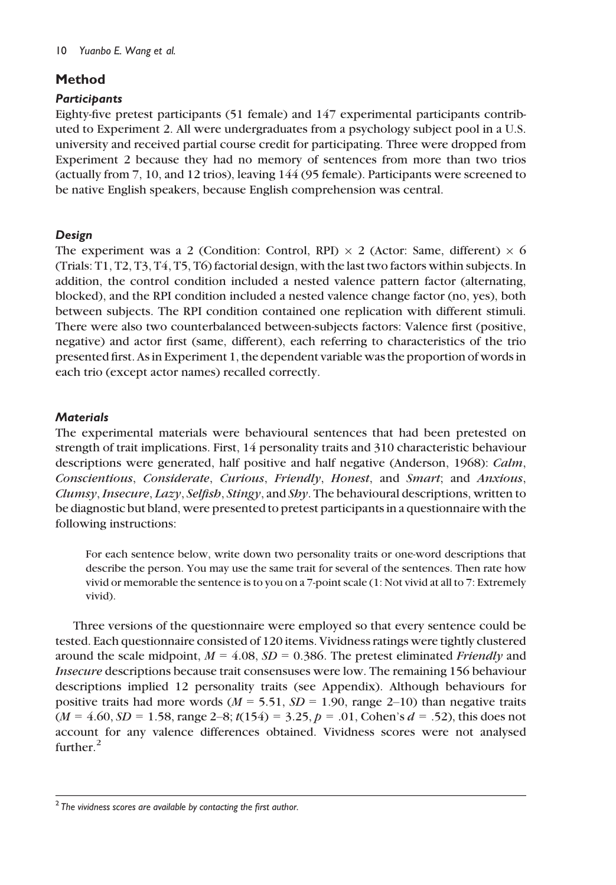# Method

# **Participants**

Eighty-five pretest participants (51 female) and 147 experimental participants contributed to Experiment 2. All were undergraduates from a psychology subject pool in a U.S. university and received partial course credit for participating. Three were dropped from Experiment 2 because they had no memory of sentences from more than two trios (actually from 7, 10, and 12 trios), leaving 144 (95 female). Participants were screened to be native English speakers, because English comprehension was central.

# Design

The experiment was a 2 (Condition: Control, RPI)  $\times$  2 (Actor: Same, different)  $\times$  6 (Trials: T1, T2, T3, T4, T5, T6) factorial design, with the last two factors within subjects. In addition, the control condition included a nested valence pattern factor (alternating, blocked), and the RPI condition included a nested valence change factor (no, yes), both between subjects. The RPI condition contained one replication with different stimuli. There were also two counterbalanced between-subjects factors: Valence first (positive, negative) and actor first (same, different), each referring to characteristics of the trio presented first. As in Experiment 1, the dependent variable was the proportion of words in each trio (except actor names) recalled correctly.

# **Materials**

The experimental materials were behavioural sentences that had been pretested on strength of trait implications. First, 14 personality traits and 310 characteristic behaviour descriptions were generated, half positive and half negative (Anderson, 1968): Calm, Conscientious, Considerate, Curious, Friendly, Honest, and Smart; and Anxious, Clumsy, Insecure, Lazy, Selfish, Stingy, and Shy. The behavioural descriptions, written to be diagnostic but bland, were presented to pretest participants in a questionnaire with the following instructions:

For each sentence below, write down two personality traits or one-word descriptions that describe the person. You may use the same trait for several of the sentences. Then rate how vivid or memorable the sentence is to you on a 7-point scale (1: Not vivid at all to 7: Extremely vivid).

Three versions of the questionnaire were employed so that every sentence could be tested. Each questionnaire consisted of 120 items. Vividness ratings were tightly clustered around the scale midpoint,  $M = 4.08$ ,  $SD = 0.386$ . The pretest eliminated *Friendly* and Insecure descriptions because trait consensuses were low. The remaining 156 behaviour descriptions implied 12 personality traits (see Appendix). Although behaviours for positive traits had more words ( $M = 5.51$ ,  $SD = 1.90$ , range 2-10) than negative traits  $(M = 4.60, SD = 1.58$ , range 2–8;  $t(154) = 3.25, p = .01$ , Cohen's  $d = .52$ ), this does not account for any valence differences obtained. Vividness scores were not analysed further $^2$ 

 $2$  The vividness scores are available by contacting the first author.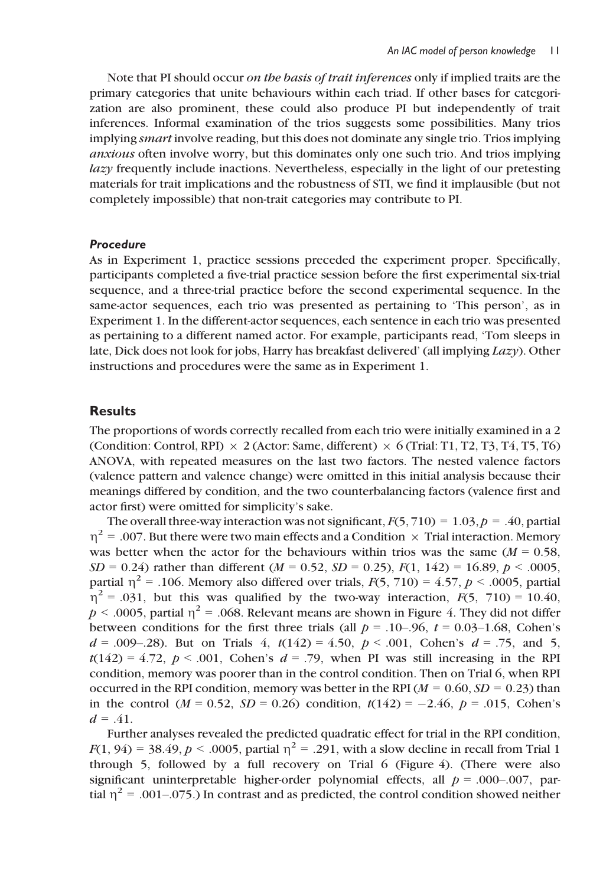Note that PI should occur on the basis of trait inferences only if implied traits are the primary categories that unite behaviours within each triad. If other bases for categorization are also prominent, these could also produce PI but independently of trait inferences. Informal examination of the trios suggests some possibilities. Many trios implying smart involve reading, but this does not dominate any single trio. Trios implying anxious often involve worry, but this dominates only one such trio. And trios implying lazy frequently include inactions. Nevertheless, especially in the light of our pretesting materials for trait implications and the robustness of STI, we find it implausible (but not completely impossible) that non-trait categories may contribute to PI.

### Procedure

As in Experiment 1, practice sessions preceded the experiment proper. Specifically, participants completed a five-trial practice session before the first experimental six-trial sequence, and a three-trial practice before the second experimental sequence. In the same-actor sequences, each trio was presented as pertaining to 'This person', as in Experiment 1. In the different-actor sequences, each sentence in each trio was presented as pertaining to a different named actor. For example, participants read, 'Tom sleeps in late, Dick does not look for jobs, Harry has breakfast delivered' (all implying Lazy). Other instructions and procedures were the same as in Experiment 1.

### **Results**

The proportions of words correctly recalled from each trio were initially examined in a 2 (Condition: Control, RPI)  $\times$  2 (Actor: Same, different)  $\times$  6 (Trial: T1, T2, T3, T4, T5, T6) ANOVA, with repeated measures on the last two factors. The nested valence factors (valence pattern and valence change) were omitted in this initial analysis because their meanings differed by condition, and the two counterbalancing factors (valence first and actor first) were omitted for simplicity's sake.

The overall three-way interaction was not significant,  $F(5, 710) = 1.03$ ,  $p = .40$ , partial  $n^2$  = .007. But there were two main effects and a Condition  $\times$  Trial interaction. Memory was better when the actor for the behaviours within trios was the same  $(M = 0.58$ ,  $SD = 0.24$ ) rather than different ( $M = 0.52$ ,  $SD = 0.25$ ),  $F(1, 142) = 16.89$ ,  $p < .0005$ , partial  $\eta^2$  = .106. Memory also differed over trials,  $F(5, 710) = 4.57$ ,  $p < .0005$ , partial  $\eta^2$  = .031, but this was qualified by the two-way interaction,  $F(5, 710) = 10.40$ ,  $p < .0005$ , partial  $\eta^2 = .068$ . Relevant means are shown in Figure 4. They did not differ between conditions for the first three trials (all  $p = .10-.96$ ,  $t = 0.03-1.68$ , Cohen's  $d = .009-.28$ . But on Trials 4,  $t(142) = 4.50$ ,  $p < .001$ , Cohen's  $d = .75$ , and 5,  $t(142) = 4.72$ ,  $p < .001$ , Cohen's  $d = .79$ , when PI was still increasing in the RPI condition, memory was poorer than in the control condition. Then on Trial 6, when RPI occurred in the RPI condition, memory was better in the RPI ( $M = 0.60$ ,  $SD = 0.23$ ) than in the control ( $M = 0.52$ ,  $SD = 0.26$ ) condition,  $t(142) = -2.46$ ,  $p = .015$ , Cohen's  $d = .41$ .

Further analyses revealed the predicted quadratic effect for trial in the RPI condition,  $F(1, 94) = 38.49$ ,  $p < .0005$ , partial  $\eta^2 = .291$ , with a slow decline in recall from Trial 1 through 5, followed by a full recovery on Trial 6 (Figure 4). (There were also significant uninterpretable higher-order polynomial effects, all  $p = .000-.007$ , partial  $n^2 = .001-.075$ .) In contrast and as predicted, the control condition showed neither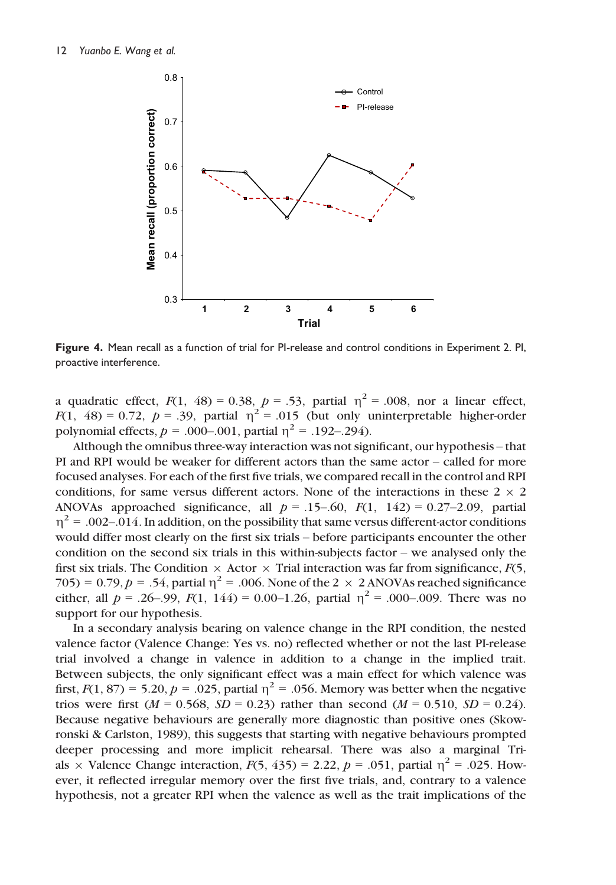

Figure 4. Mean recall as a function of trial for PI-release and control conditions in Experiment 2. PI, proactive interference.

a quadratic effect,  $F(1, 48) = 0.38$ ,  $p = .53$ , partial  $\eta^2 = .008$ , nor a linear effect,  $F(1, 48) = 0.72$ ,  $p = .39$ , partial  $\eta^2 = .015$  (but only uninterpretable higher-order polynomial effects,  $p = .000-.001$ , partial  $\eta^2 = .192-.294$ ).

Although the omnibus three-way interaction was not significant, our hypothesis – that PI and RPI would be weaker for different actors than the same actor – called for more focused analyses. For each of the first five trials, we compared recall in the control and RPI conditions, for same versus different actors. None of the interactions in these  $2 \times 2$ ANOVAs approached significance, all  $p = .15-.60$ ,  $F(1, 142) = 0.27-2.09$ , partial  $\eta^2$  = .002–.014. In addition, on the possibility that same versus different-actor conditions would differ most clearly on the first six trials – before participants encounter the other condition on the second six trials in this within-subjects factor – we analysed only the first six trials. The Condition  $\times$  Actor  $\times$  Trial interaction was far from significance,  $F(5)$ , 705) = 0.79,  $p = .54$ , partial  $\eta^2 = .006$ . None of the 2  $\times$  2 ANOVAs reached significance either, all  $p = .26-.99$ ,  $F(1, 144) = 0.00-1.26$ , partial  $\eta^2 = .000-.009$ . There was no support for our hypothesis.

In a secondary analysis bearing on valence change in the RPI condition, the nested valence factor (Valence Change: Yes vs. no) reflected whether or not the last PI-release trial involved a change in valence in addition to a change in the implied trait. Between subjects, the only significant effect was a main effect for which valence was first,  $F(1, 87) = 5.20$ ,  $p = .025$ , partial  $\eta^2 = .056$ . Memory was better when the negative trios were first ( $M = 0.568$ ,  $SD = 0.23$ ) rather than second ( $M = 0.510$ ,  $SD = 0.24$ ). Because negative behaviours are generally more diagnostic than positive ones (Skowronski & Carlston, 1989), this suggests that starting with negative behaviours prompted deeper processing and more implicit rehearsal. There was also a marginal Trials  $\times$  Valence Change interaction,  $F(5, 435) = 2.22$ ,  $p = .051$ , partial  $\eta^2 = .025$ . However, it reflected irregular memory over the first five trials, and, contrary to a valence hypothesis, not a greater RPI when the valence as well as the trait implications of the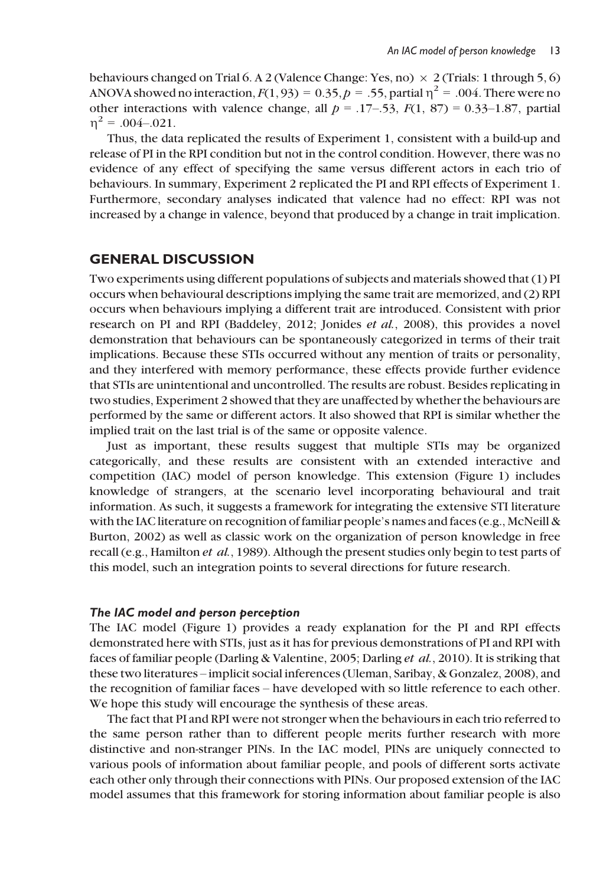behaviours changed on Trial 6. A 2 (Valence Change: Yes, no)  $\times$  2 (Trials: 1 through 5, 6) ANOVA showed no interaction,  $F(1, 93) = 0.35$ ,  $p = .55$ , partial  $\eta^2 = .004$ . There were no other interactions with valence change, all  $p = .17-.53$ ,  $F(1, 87) = 0.33-1.87$ , partial  $n^2 = .004 - .021$ .

Thus, the data replicated the results of Experiment 1, consistent with a build-up and release of PI in the RPI condition but not in the control condition. However, there was no evidence of any effect of specifying the same versus different actors in each trio of behaviours. In summary, Experiment 2 replicated the PI and RPI effects of Experiment 1. Furthermore, secondary analyses indicated that valence had no effect: RPI was not increased by a change in valence, beyond that produced by a change in trait implication.

# GENERAL DISCUSSION

Two experiments using different populations of subjects and materials showed that (1) PI occurs when behavioural descriptions implying the same trait are memorized, and (2) RPI occurs when behaviours implying a different trait are introduced. Consistent with prior research on PI and RPI (Baddeley, 2012; Jonides et al., 2008), this provides a novel demonstration that behaviours can be spontaneously categorized in terms of their trait implications. Because these STIs occurred without any mention of traits or personality, and they interfered with memory performance, these effects provide further evidence that STIs are unintentional and uncontrolled. The results are robust. Besides replicating in two studies, Experiment 2 showed that they are unaffected by whether the behaviours are performed by the same or different actors. It also showed that RPI is similar whether the implied trait on the last trial is of the same or opposite valence.

Just as important, these results suggest that multiple STIs may be organized categorically, and these results are consistent with an extended interactive and competition (IAC) model of person knowledge. This extension (Figure 1) includes knowledge of strangers, at the scenario level incorporating behavioural and trait information. As such, it suggests a framework for integrating the extensive STI literature with the IAC literature on recognition of familiar people's names and faces (e.g., McNeill & Burton, 2002) as well as classic work on the organization of person knowledge in free recall (e.g., Hamilton et al., 1989). Although the present studies only begin to test parts of this model, such an integration points to several directions for future research.

### The IAC model and person perception

The IAC model (Figure 1) provides a ready explanation for the PI and RPI effects demonstrated here with STIs, just as it has for previous demonstrations of PI and RPI with faces of familiar people (Darling & Valentine, 2005; Darling et al., 2010). It is striking that these two literatures – implicit social inferences (Uleman, Saribay, & Gonzalez, 2008), and the recognition of familiar faces – have developed with so little reference to each other. We hope this study will encourage the synthesis of these areas.

The fact that PI and RPI were not stronger when the behaviours in each trio referred to the same person rather than to different people merits further research with more distinctive and non-stranger PINs. In the IAC model, PINs are uniquely connected to various pools of information about familiar people, and pools of different sorts activate each other only through their connections with PINs. Our proposed extension of the IAC model assumes that this framework for storing information about familiar people is also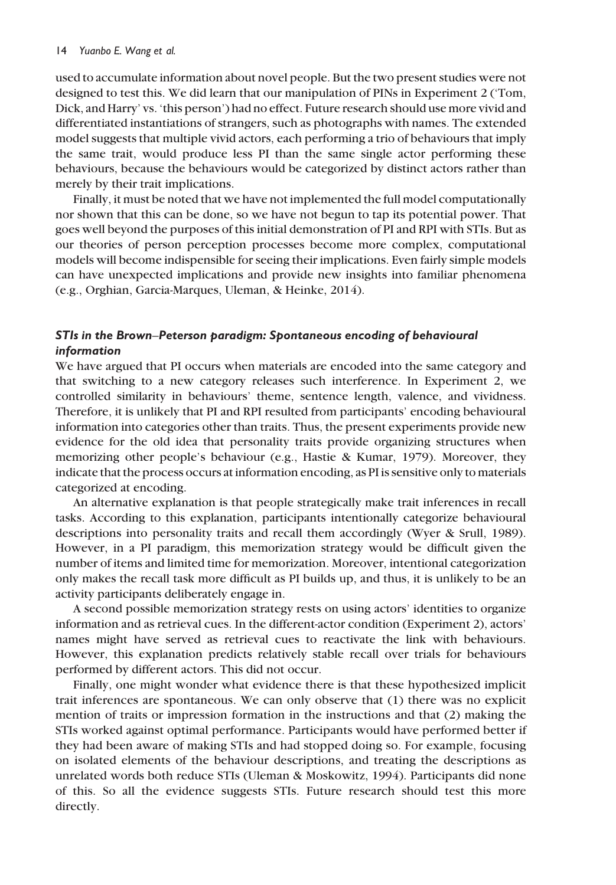used to accumulate information about novel people. But the two present studies were not designed to test this. We did learn that our manipulation of PINs in Experiment 2 ('Tom, Dick, and Harry' vs. 'this person') had no effect. Future research should use more vivid and differentiated instantiations of strangers, such as photographs with names. The extended model suggests that multiple vivid actors, each performing a trio of behaviours that imply the same trait, would produce less PI than the same single actor performing these behaviours, because the behaviours would be categorized by distinct actors rather than merely by their trait implications.

Finally, it must be noted that we have not implemented the full model computationally nor shown that this can be done, so we have not begun to tap its potential power. That goes well beyond the purposes of this initial demonstration of PI and RPI with STIs. But as our theories of person perception processes become more complex, computational models will become indispensible for seeing their implications. Even fairly simple models can have unexpected implications and provide new insights into familiar phenomena (e.g., Orghian, Garcia-Marques, Uleman, & Heinke, 2014).

# STIs in the Brown–Peterson paradigm: Spontaneous encoding of behavioural information

We have argued that PI occurs when materials are encoded into the same category and that switching to a new category releases such interference. In Experiment 2, we controlled similarity in behaviours' theme, sentence length, valence, and vividness. Therefore, it is unlikely that PI and RPI resulted from participants' encoding behavioural information into categories other than traits. Thus, the present experiments provide new evidence for the old idea that personality traits provide organizing structures when memorizing other people's behaviour (e.g., Hastie & Kumar, 1979). Moreover, they indicate that the process occurs at information encoding, as PI is sensitive only to materials categorized at encoding.

An alternative explanation is that people strategically make trait inferences in recall tasks. According to this explanation, participants intentionally categorize behavioural descriptions into personality traits and recall them accordingly (Wyer & Srull, 1989). However, in a PI paradigm, this memorization strategy would be difficult given the number of items and limited time for memorization. Moreover, intentional categorization only makes the recall task more difficult as PI builds up, and thus, it is unlikely to be an activity participants deliberately engage in.

A second possible memorization strategy rests on using actors' identities to organize information and as retrieval cues. In the different-actor condition (Experiment 2), actors' names might have served as retrieval cues to reactivate the link with behaviours. However, this explanation predicts relatively stable recall over trials for behaviours performed by different actors. This did not occur.

Finally, one might wonder what evidence there is that these hypothesized implicit trait inferences are spontaneous. We can only observe that (1) there was no explicit mention of traits or impression formation in the instructions and that (2) making the STIs worked against optimal performance. Participants would have performed better if they had been aware of making STIs and had stopped doing so. For example, focusing on isolated elements of the behaviour descriptions, and treating the descriptions as unrelated words both reduce STIs (Uleman & Moskowitz, 1994). Participants did none of this. So all the evidence suggests STIs. Future research should test this more directly.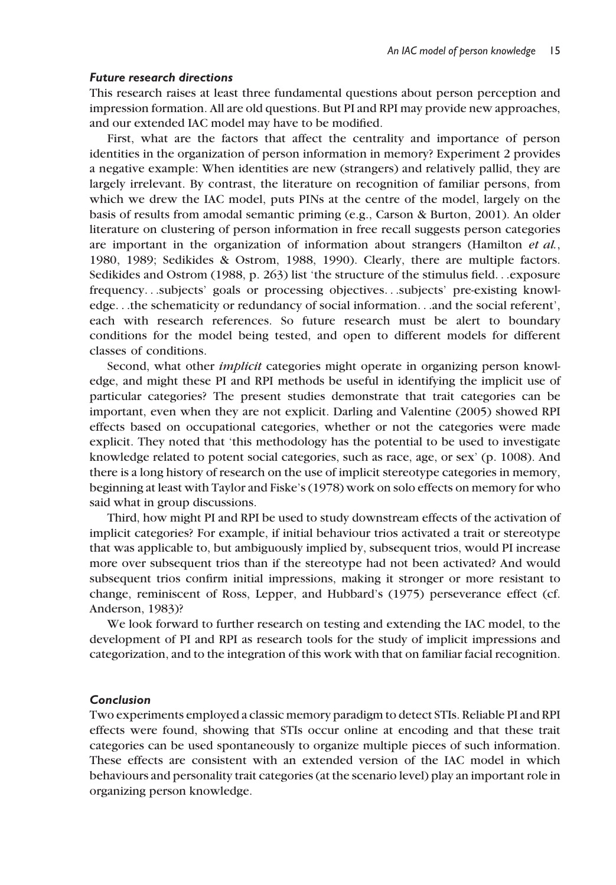### Future research directions

This research raises at least three fundamental questions about person perception and impression formation. All are old questions. But PI and RPI may provide new approaches, and our extended IAC model may have to be modified.

First, what are the factors that affect the centrality and importance of person identities in the organization of person information in memory? Experiment 2 provides a negative example: When identities are new (strangers) and relatively pallid, they are largely irrelevant. By contrast, the literature on recognition of familiar persons, from which we drew the IAC model, puts PINs at the centre of the model, largely on the basis of results from amodal semantic priming (e.g., Carson & Burton, 2001). An older literature on clustering of person information in free recall suggests person categories are important in the organization of information about strangers (Hamilton et al., 1980, 1989; Sedikides & Ostrom, 1988, 1990). Clearly, there are multiple factors. Sedikides and Ostrom (1988, p. 263) list 'the structure of the stimulus field...exposure frequency...subjects' goals or processing objectives...subjects' pre-existing knowledge...the schematicity or redundancy of social information...and the social referent', each with research references. So future research must be alert to boundary conditions for the model being tested, and open to different models for different classes of conditions.

Second, what other implicit categories might operate in organizing person knowledge, and might these PI and RPI methods be useful in identifying the implicit use of particular categories? The present studies demonstrate that trait categories can be important, even when they are not explicit. Darling and Valentine (2005) showed RPI effects based on occupational categories, whether or not the categories were made explicit. They noted that 'this methodology has the potential to be used to investigate knowledge related to potent social categories, such as race, age, or sex' (p. 1008). And there is a long history of research on the use of implicit stereotype categories in memory, beginning at least with Taylor and Fiske's (1978) work on solo effects on memory for who said what in group discussions.

Third, how might PI and RPI be used to study downstream effects of the activation of implicit categories? For example, if initial behaviour trios activated a trait or stereotype that was applicable to, but ambiguously implied by, subsequent trios, would PI increase more over subsequent trios than if the stereotype had not been activated? And would subsequent trios confirm initial impressions, making it stronger or more resistant to change, reminiscent of Ross, Lepper, and Hubbard's (1975) perseverance effect (cf. Anderson, 1983)?

We look forward to further research on testing and extending the IAC model, to the development of PI and RPI as research tools for the study of implicit impressions and categorization, and to the integration of this work with that on familiar facial recognition.

### Conclusion

Two experiments employed a classic memory paradigm to detect STIs. Reliable PI and RPI effects were found, showing that STIs occur online at encoding and that these trait categories can be used spontaneously to organize multiple pieces of such information. These effects are consistent with an extended version of the IAC model in which behaviours and personality trait categories (at the scenario level) play an important role in organizing person knowledge.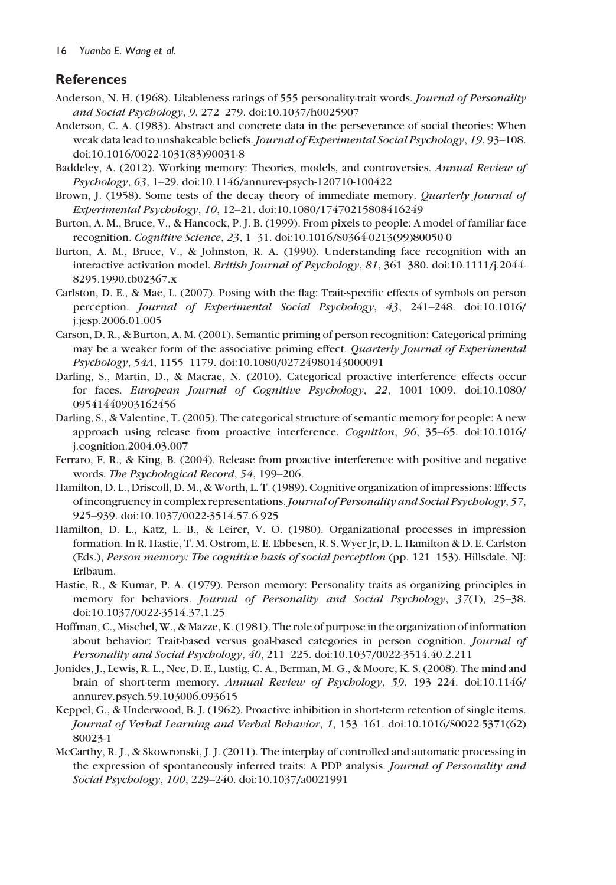# References

- Anderson, N. H. (1968). Likableness ratings of 555 personality-trait words. Journal of Personality and Social Psychology, 9, 272–279. doi[:10.1037/h0025907](http://dx.doi.org/10.1037/h0025907)
- Anderson, C. A. (1983). Abstract and concrete data in the perseverance of social theories: When weak data lead to unshakeable beliefs. Journal of Experimental Social Psychology, 19, 93-108. doi:[10.1016/0022-1031\(83\)90031-8](http://dx.doi.org/10.1016/0022-1031(83)90031-8)
- Baddeley, A. (2012). Working memory: Theories, models, and controversies. Annual Review of Psychology, 63, 1–29. doi:[10.1146/annurev-psych-120710-100422](http://dx.doi.org/10.1146/annurev-psych-120710-100422)
- Brown, J. (1958). Some tests of the decay theory of immediate memory. Quarterly Journal of Experimental Psychology, 10, 12–21. doi:[10.1080/17470215808416249](http://dx.doi.org/10.1080/17470215808416249)
- Burton, A. M., Bruce, V., & Hancock, P. J. B. (1999). From pixels to people: A model of familiar face recognition. Cognitive Science, 23, 1–31. doi:[10.1016/S0364-0213\(99\)80050-0](http://dx.doi.org/10.1016/S0364-0213(99)80050-0)
- Burton, A. M., Bruce, V., & Johnston, R. A. (1990). Understanding face recognition with an interactive activation model. British Journal of Psychology, 81, 361–380. doi[:10.1111/j.2044-](http://dx.doi.org/10.1111/j.2044-8295.1990.tb02367.x) [8295.1990.tb02367.x](http://dx.doi.org/10.1111/j.2044-8295.1990.tb02367.x)
- Carlston, D. E., & Mae, L. (2007). Posing with the flag: Trait-specific effects of symbols on person perception. Journal of Experimental Social Psychology, 43, 241–248. doi:[10.1016/](http://dx.doi.org/10.1016/j.jesp.2006.01.005) [j.jesp.2006.01.005](http://dx.doi.org/10.1016/j.jesp.2006.01.005)
- Carson, D. R., & Burton, A. M. (2001). Semantic priming of person recognition: Categorical priming may be a weaker form of the associative priming effect. Quarterly Journal of Experimental Psychology, 54A, 1155–1179. doi[:10.1080/02724980143000091](http://dx.doi.org/10.1080/02724980143000091)
- Darling, S., Martin, D., & Macrae, N. (2010). Categorical proactive interference effects occur for faces. European Journal of Cognitive Psychology, 22, 1001–1009. doi:[10.1080/](http://dx.doi.org/10.1080/09541440903162456) [09541440903162456](http://dx.doi.org/10.1080/09541440903162456)
- Darling, S., & Valentine, T. (2005). The categorical structure of semantic memory for people: A new approach using release from proactive interference. Cognition, 96, 35–65. doi:[10.1016/](http://dx.doi.org/10.1016/j.cognition.2004.03.007) [j.cognition.2004.03.007](http://dx.doi.org/10.1016/j.cognition.2004.03.007)
- Ferraro, F. R., & King, B. (2004). Release from proactive interference with positive and negative words. The Psychological Record, 54, 199–206.
- Hamilton, D. L., Driscoll, D. M., & Worth, L. T. (1989). Cognitive organization of impressions: Effects of incongruency in complex representations.Journal of Personality and Social Psychology, 57, 925–939. doi[:10.1037/0022-3514.57.6.925](http://dx.doi.org/10.1037/0022-3514.57.6.925)
- Hamilton, D. L., Katz, L. B., & Leirer, V. O. (1980). Organizational processes in impression formation. In R. Hastie, T. M. Ostrom, E. E. Ebbesen, R. S. Wyer Jr, D. L. Hamilton & D. E. Carlston (Eds.), Person memory: The cognitive basis of social perception (pp. 121–153). Hillsdale, NJ: Erlbaum.
- Hastie, R., & Kumar, P. A. (1979). Person memory: Personality traits as organizing principles in memory for behaviors. Journal of Personality and Social Psychology, 37(1), 25–38. doi:[10.1037/0022-3514.37.1.25](http://dx.doi.org/10.1037/0022-3514.37.1.25)
- Hoffman, C., Mischel, W., & Mazze, K. (1981). The role of purpose in the organization of information about behavior: Trait-based versus goal-based categories in person cognition. Journal of Personality and Social Psychology, 40, 211–225. doi:[10.1037/0022-3514.40.2.211](http://dx.doi.org/10.1037/0022-3514.40.2.211)
- Jonides, J., Lewis, R. L., Nee, D. E., Lustig, C. A., Berman, M. G., & Moore, K. S. (2008). The mind and brain of short-term memory. Annual Review of Psychology, 59, 193–224. doi:[10.1146/](http://dx.doi.org/10.1146/annurev.psych.59.103006.093615) [annurev.psych.59.103006.093615](http://dx.doi.org/10.1146/annurev.psych.59.103006.093615)
- Keppel, G., & Underwood, B. J. (1962). Proactive inhibition in short-term retention of single items. Journal of Verbal Learning and Verbal Behavior, 1, 153–161. doi:[10.1016/S0022-5371\(62\)](http://dx.doi.org/10.1016/S0022-5371(62)80023-1) [80023-1](http://dx.doi.org/10.1016/S0022-5371(62)80023-1)
- McCarthy, R. J., & Skowronski, J. J. (2011). The interplay of controlled and automatic processing in the expression of spontaneously inferred traits: A PDP analysis. Journal of Personality and Social Psychology, 100, 229–240. doi:[10.1037/a0021991](http://dx.doi.org/10.1037/a0021991)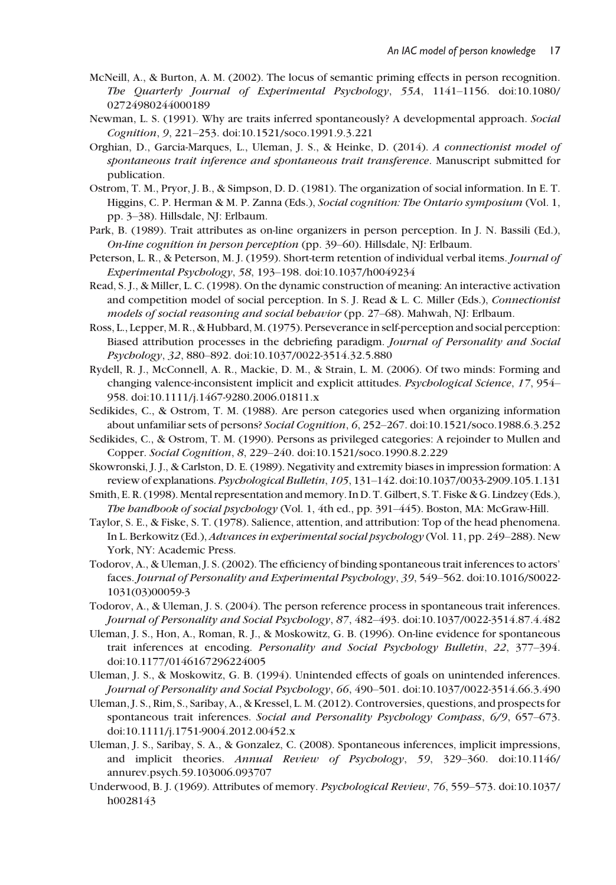- McNeill, A., & Burton, A. M. (2002). The locus of semantic priming effects in person recognition. The Quarterly Journal of Experimental Psychology, 55A, 1141–1156. doi:[10.1080/](http://dx.doi.org/10.1080/02724980244000189) [02724980244000189](http://dx.doi.org/10.1080/02724980244000189)
- Newman, L. S. (1991). Why are traits inferred spontaneously? A developmental approach. Social Cognition, 9, 221–253. doi:[10.1521/soco.1991.9.3.221](http://dx.doi.org/10.1521/soco.1991.9.3.221)
- Orghian, D., Garcia-Marques, L., Uleman, J. S., & Heinke, D. (2014). A connectionist model of spontaneous trait inference and spontaneous trait transference. Manuscript submitted for publication.
- Ostrom, T. M., Pryor, J. B., & Simpson, D. D. (1981). The organization of social information. In E. T. Higgins, C. P. Herman & M. P. Zanna (Eds.), Social cognition: The Ontario symposium (Vol. 1, pp. 3–38). Hillsdale, NJ: Erlbaum.
- Park, B. (1989). Trait attributes as on-line organizers in person perception. In J. N. Bassili (Ed.), On-line cognition in person perception (pp. 39–60). Hillsdale, NJ: Erlbaum.
- Peterson, L. R., & Peterson, M. J. (1959). Short-term retention of individual verbal items. Journal of Experimental Psychology, 58, 193–198. doi[:10.1037/h0049234](http://dx.doi.org/10.1037/h0049234)
- Read, S. J., & Miller, L. C. (1998). On the dynamic construction of meaning: An interactive activation and competition model of social perception. In S. J. Read & L. C. Miller (Eds.), Connectionist models of social reasoning and social behavior (pp. 27–68). Mahwah, NJ: Erlbaum.
- Ross, L., Lepper, M. R., & Hubbard, M. (1975). Perseverance in self-perception and social perception: Biased attribution processes in the debriefing paradigm. Journal of Personality and Social Psychology, 32, 880–892. doi:[10.1037/0022-3514.32.5.880](http://dx.doi.org/10.1037/0022-3514.32.5.880)
- Rydell, R. J., McConnell, A. R., Mackie, D. M., & Strain, L. M. (2006). Of two minds: Forming and changing valence-inconsistent implicit and explicit attitudes. Psychological Science, 17, 954– 958. doi:[10.1111/j.1467-9280.2006.01811.x](http://dx.doi.org/10.1111/j.1467-9280.2006.01811.x)
- Sedikides, C., & Ostrom, T. M. (1988). Are person categories used when organizing information about unfamiliar sets of persons? Social Cognition, 6, 252–267. doi[:10.1521/soco.1988.6.3.252](http://dx.doi.org/10.1521/soco.1988.6.3.252)
- Sedikides, C., & Ostrom, T. M. (1990). Persons as privileged categories: A rejoinder to Mullen and Copper. Social Cognition, 8, 229–240. doi[:10.1521/soco.1990.8.2.229](http://dx.doi.org/10.1521/soco.1990.8.2.229)
- Skowronski, J. J., & Carlston, D. E. (1989). Negativity and extremity biases in impression formation: A review of explanations. Psychological Bulletin, 105, 131–142. doi:[10.1037/0033-2909.105.1.131](http://dx.doi.org/10.1037/0033-2909.105.1.131)
- Smith, E. R. (1998). Mental representation and memory. In D. T. Gilbert, S. T. Fiske & G. Lindzey (Eds.), The handbook of social psychology (Vol. 1, 4th ed., pp. 391–445). Boston, MA: McGraw-Hill.
- Taylor, S. E., & Fiske, S. T. (1978). Salience, attention, and attribution: Top of the head phenomena. In L. Berkowitz (Ed.), Advances in experimental social psychology (Vol. 11, pp. 249–288). New York, NY: Academic Press.
- Todorov, A., & Uleman, J. S. (2002). The efficiency of binding spontaneous trait inferences to actors' faces. Journal of Personality and Experimental Psychology, 39, 549–562. doi:[10.1016/S0022-](http://dx.doi.org/10.1016/S0022-1031(03)00059-3) [1031\(03\)00059-3](http://dx.doi.org/10.1016/S0022-1031(03)00059-3)
- Todorov, A., & Uleman, J. S. (2004). The person reference process in spontaneous trait inferences. Journal of Personality and Social Psychology, 87, 482–493. doi[:10.1037/0022-3514.87.4.482](http://dx.doi.org/10.1037/0022-3514.87.4.482)
- Uleman, J. S., Hon, A., Roman, R. J., & Moskowitz, G. B. (1996). On-line evidence for spontaneous trait inferences at encoding. Personality and Social Psychology Bulletin, 22, 377–394. doi:[10.1177/0146167296224005](http://dx.doi.org/10.1177/0146167296224005)
- Uleman, J. S., & Moskowitz, G. B. (1994). Unintended effects of goals on unintended inferences. Journal of Personality and Social Psychology, 66, 490–501. doi[:10.1037/0022-3514.66.3.490](http://dx.doi.org/10.1037/0022-3514.66.3.490)
- Uleman, J. S., Rim, S., Saribay, A., & Kressel, L. M. (2012). Controversies, questions, and prospects for spontaneous trait inferences. Social and Personality Psychology Compass, 6/9, 657-673. doi:[10.1111/j.1751-9004.2012.00452.x](http://dx.doi.org/10.1111/j.1751-9004.2012.00452.x)
- Uleman, J. S., Saribay, S. A., & Gonzalez, C. (2008). Spontaneous inferences, implicit impressions, and implicit theories. Annual Review of Psychology, 59, 329–360. doi:[10.1146/](http://dx.doi.org/10.1146/annurev.psych.59.103006.093707) [annurev.psych.59.103006.093707](http://dx.doi.org/10.1146/annurev.psych.59.103006.093707)
- Underwood, B. J. (1969). Attributes of memory. Psychological Review, 76, 559–573. doi:[10.1037/](http://dx.doi.org/10.1037/h0028143) [h0028143](http://dx.doi.org/10.1037/h0028143)